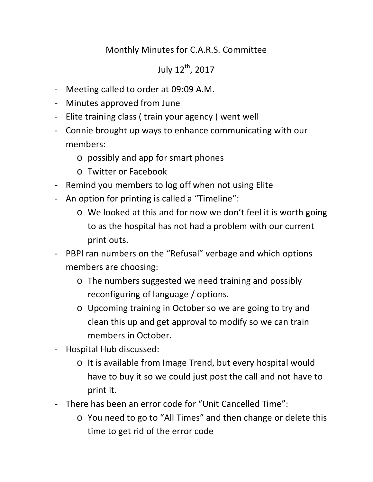## Monthly Minutes for C.A.R.S. Committee

## July 12<sup>th</sup>, 2017

- Meeting called to order at 09:09 A.M.
- Minutes approved from June
- Elite training class ( train your agency ) went well
- Connie brought up ways to enhance communicating with our members:
	- o possibly and app for smart phones
	- o Twitter or Facebook
- Remind you members to log off when not using Elite
- An option for printing is called a "Timeline":
	- o We looked at this and for now we don't feel it is worth going to as the hospital has not had a problem with our current print outs.
- PBPI ran numbers on the "Refusal" verbage and which options members are choosing:
	- o The numbers suggested we need training and possibly reconfiguring of language / options.
	- o Upcoming training in October so we are going to try and clean this up and get approval to modify so we can train members in October.
- Hospital Hub discussed:
	- o It is available from Image Trend, but every hospital would have to buy it so we could just post the call and not have to print it.
- There has been an error code for "Unit Cancelled Time":
	- o You need to go to "All Times" and then change or delete this time to get rid of the error code